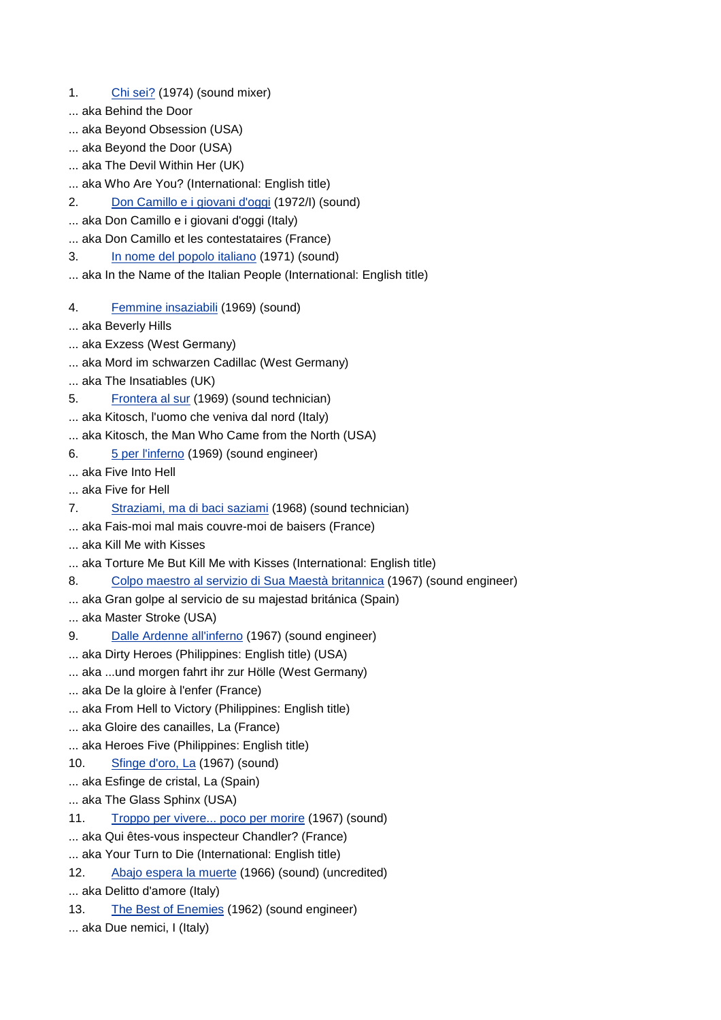- 1. Chi sei? (1974) (sound mixer)
- ... aka Behind the Door
- ... aka Beyond Obsession (USA)
- ... aka Beyond the Door (USA)
- ... aka The Devil Within Her (UK)
- ... aka Who Are You? (International: English title)
- 2. Don Camillo e i giovani d'oggi (1972/I) (sound)
- ... aka Don Camillo e i giovani d'oggi (Italy)
- ... aka Don Camillo et les contestataires (France)
- 3. In nome del popolo italiano (1971) (sound)
- ... aka In the Name of the Italian People (International: English title)
- 4. Femmine insaziabili (1969) (sound)
- ... aka Beverly Hills
- ... aka Exzess (West Germany)
- ... aka Mord im schwarzen Cadillac (West Germany)
- ... aka The Insatiables (UK)
- 5. Frontera al sur (1969) (sound technician)
- ... aka Kitosch, l'uomo che veniva dal nord (Italy)
- ... aka Kitosch, the Man Who Came from the North (USA)
- 6. 5 per l'inferno (1969) (sound engineer)
- ... aka Five Into Hell
- ... aka Five for Hell
- 7. Straziami, ma di baci saziami (1968) (sound technician)
- ... aka Fais-moi mal mais couvre-moi de baisers (France)
- ... aka Kill Me with Kisses
- ... aka Torture Me But Kill Me with Kisses (International: English title)
- 8. Colpo maestro al servizio di Sua Maestà britannica (1967) (sound engineer)
- ... aka Gran golpe al servicio de su majestad británica (Spain)
- ... aka Master Stroke (USA)
- 9. Dalle Ardenne all'inferno (1967) (sound engineer)
- ... aka Dirty Heroes (Philippines: English title) (USA)
- ... aka ...und morgen fahrt ihr zur Hölle (West Germany)
- ... aka De la gloire à l'enfer (France)
- ... aka From Hell to Victory (Philippines: English title)
- ... aka Gloire des canailles, La (France)
- ... aka Heroes Five (Philippines: English title)
- 10. Sfinge d'oro, La (1967) (sound)
- ... aka Esfinge de cristal, La (Spain)
- ... aka The Glass Sphinx (USA)
- 11. Troppo per vivere... poco per morire (1967) (sound)
- ... aka Qui êtes-vous inspecteur Chandler? (France)
- ... aka Your Turn to Die (International: English title)
- 12. Abajo espera la muerte (1966) (sound) (uncredited)
- ... aka Delitto d'amore (Italy)
- 13. The Best of Enemies (1962) (sound engineer)
- ... aka Due nemici, I (Italy)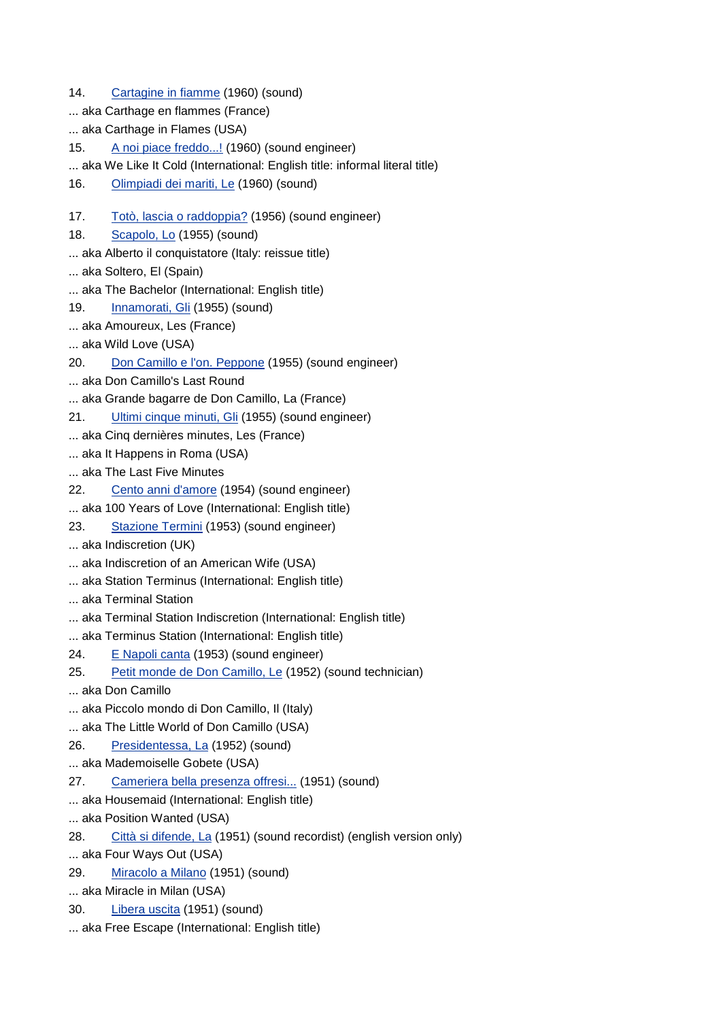14. Cartagine in fiamme (1960) (sound) ... aka Carthage en flammes (France) ... aka Carthage in Flames (USA) 15. A noi piace freddo...! (1960) (sound engineer) ... aka We Like It Cold (International: English title: informal literal title) 16. Olimpiadi dei mariti, Le (1960) (sound) 17. Totò, lascia o raddoppia? (1956) (sound engineer) 18. Scapolo, Lo (1955) (sound) ... aka Alberto il conquistatore (Italy: reissue title) ... aka Soltero, El (Spain) ... aka The Bachelor (International: English title) 19. Innamorati, Gli (1955) (sound) ... aka Amoureux, Les (France) ... aka Wild Love (USA) 20. Don Camillo e l'on. Peppone (1955) (sound engineer) ... aka Don Camillo's Last Round ... aka Grande bagarre de Don Camillo, La (France) 21. Ultimi cinque minuti, Gli (1955) (sound engineer) ... aka Cinq dernières minutes, Les (France) ... aka It Happens in Roma (USA) ... aka The Last Five Minutes 22. Cento anni d'amore (1954) (sound engineer) ... aka 100 Years of Love (International: English title) 23. Stazione Termini (1953) (sound engineer) ... aka Indiscretion (UK) ... aka Indiscretion of an American Wife (USA) ... aka Station Terminus (International: English title) ... aka Terminal Station ... aka Terminal Station Indiscretion (International: English title) ... aka Terminus Station (International: English title) 24. E Napoli canta (1953) (sound engineer) 25. Petit monde de Don Camillo, Le (1952) (sound technician) ... aka Don Camillo ... aka Piccolo mondo di Don Camillo, Il (Italy) ... aka The Little World of Don Camillo (USA) 26. Presidentessa, La (1952) (sound) ... aka Mademoiselle Gobete (USA) 27. Cameriera bella presenza offresi... (1951) (sound) ... aka Housemaid (International: English title) ... aka Position Wanted (USA) 28. Città si difende, La (1951) (sound recordist) (english version only) ... aka Four Ways Out (USA) 29. Miracolo a Milano (1951) (sound) ... aka Miracle in Milan (USA) 30. Libera uscita (1951) (sound) ... aka Free Escape (International: English title)